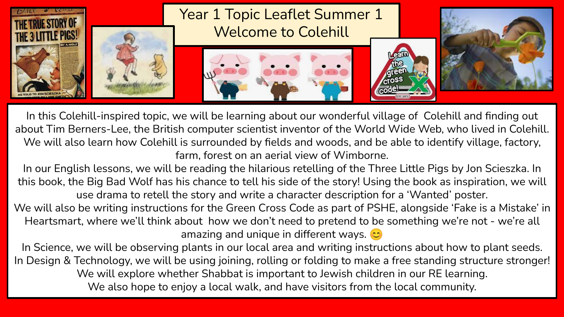

In this Colehill-inspired topic, we will be Iearning about our wonderful village of Colehill and finding out about Tim Berners-Lee, the British computer scientist inventor of the World Wide Web, who lived in Colehill. We will also learn how Colehill is surrounded by fields and woods, and be able to identify village, factory, farm, forest on an aerial view of Wimborne.

In our English lessons, we will be reading the hilarious retelling of the Three Little Pigs by Jon Scieszka. In this book, the Big Bad Wolf has his chance to tell his side of the story! Using the book as inspiration, we will use drama to retell the story and write a character description for a 'Wanted' poster.

We will also be writing instructions for the Green Cross Code as part of PSHE, alongside 'Fake is a Mistake' in Heartsmart, where we'll think about how we don't need to pretend to be something we're not - we're all amazing and unique in different ways.  $\circ$ 

In Science, we will be observing plants in our local area and writing instructions about how to plant seeds. In Design & Technology, we will be using joining, rolling or folding to make a free standing structure stronger! We will explore whether Shabbat is important to Jewish children in our RE learning. We also hope to enjoy a local walk, and have visitors from the local community.